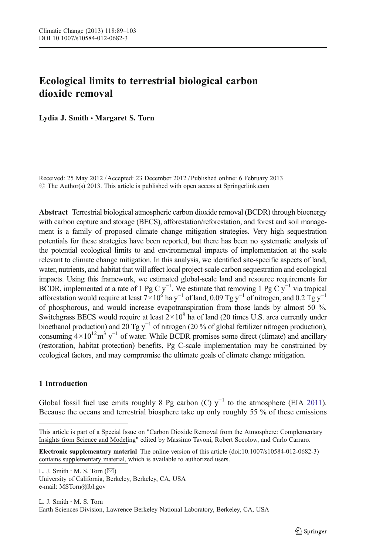# Ecological limits to terrestrial biological carbon dioxide removal

Lydia J. Smith · Margaret S. Torn

Received: 25 May 2012 / Accepted: 23 December 2012 / Published online: 6 February 2013  $\odot$  The Author(s) 2013. This article is published with open access at Springerlink.com

Abstract Terrestrial biological atmospheric carbon dioxide removal (BCDR) through bioenergy with carbon capture and storage (BECS), afforestation/reforestation, and forest and soil management is a family of proposed climate change mitigation strategies. Very high sequestration potentials for these strategies have been reported, but there has been no systematic analysis of the potential ecological limits to and environmental impacts of implementation at the scale relevant to climate change mitigation. In this analysis, we identified site-specific aspects of land, water, nutrients, and habitat that will affect local project-scale carbon sequestration and ecological impacts. Using this framework, we estimated global-scale land and resource requirements for BCDR, implemented at a rate of 1 Pg C y<sup>-1</sup>. We estimate that removing 1 Pg C y<sup>-1</sup> via tropical afforestation would require at least  $7\times10^6$  ha y<sup>−1</sup> of land, 0.09 Tg y<sup>−1</sup> of nitrogen, and 0.2 Tg y<sup>−1</sup> of phosphorous, and would increase evapotranspiration from those lands by almost 50 %. Switchgrass BECS would require at least  $2 \times 10^8$  ha of land (20 times U.S. area currently under bioethanol production) and  $20$  Tg y<sup>-1</sup> of nitrogen (20 % of global fertilizer nitrogen production), consuming  $4 \times 10^{12}$ m<sup>3</sup> y<sup>-1</sup> of water. While BCDR promises some direct (climate) and ancillary (restoration, habitat protection) benefits, Pg C-scale implementation may be constrained by ecological factors, and may compromise the ultimate goals of climate change mitigation.

## 1 Introduction

Global fossil fuel use emits roughly 8 Pg carbon (C)  $y^{-1}$  to the atmosphere (EIA [2011](#page-11-0)). Because the oceans and terrestrial biosphere take up only roughly 55 % of these emissions

L. J. Smith  $\cdot$  M. S. Torn  $(\boxtimes)$ University of California, Berkeley, Berkeley, CA, USA e-mail: MSTorn@lbl.gov

This article is part of a Special Issue on "Carbon Dioxide Removal from the Atmosphere: Complementary Insights from Science and Modeling" edited by Massimo Tavoni, Robert Socolow, and Carlo Carraro.

Electronic supplementary material The online version of this article (doi[:10.1007/s10584-012-0682-3](http://dx.doi.org/10.1007/s10584-012-0682-3)) contains supplementary material, which is available to authorized users.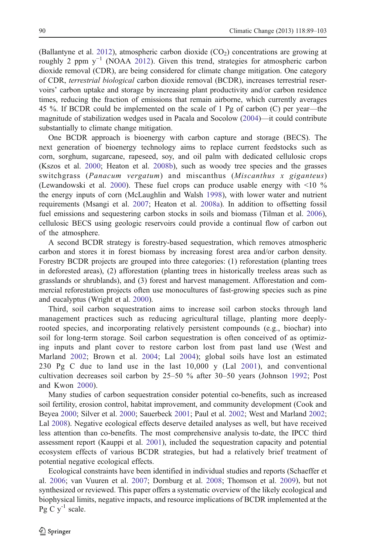(Ballantyne et al. [2012\)](#page-10-0), atmospheric carbon dioxide  $(CO<sub>2</sub>)$  concentrations are growing at roughly 2 ppm y<sup>-1</sup> (NOAA [2012\)](#page-13-0). Given this trend, strategies for atmospheric carbon dioxide removal (CDR), are being considered for climate change mitigation. One category of CDR, terrestrial biological carbon dioxide removal (BCDR), increases terrestrial reservoirs' carbon uptake and storage by increasing plant productivity and/or carbon residence times, reducing the fraction of emissions that remain airborne, which currently averages 45 %. If BCDR could be implemented on the scale of 1 Pg of carbon (C) per year—the magnitude of stabilization wedges used in Pacala and Socolow ([2004\)](#page-13-0)—it could contribute substantially to climate change mitigation.

One BCDR approach is bioenergy with carbon capture and storage (BECS). The next generation of bioenergy technology aims to replace current feedstocks such as corn, sorghum, sugarcane, rapeseed, soy, and oil palm with dedicated cellulosic crops (Kszos et al. [2000;](#page-12-0) Heaton et al. [2008b\)](#page-12-0), such as woody tree species and the grasses switchgrass (Panacum vergatum) and miscanthus (Miscanthus x giganteus) (Lewandowski et al. [2000](#page-12-0)). These fuel crops can produce usable energy with <10 % the energy inputs of corn (McLaughlin and Walsh [1998\)](#page-12-0), with lower water and nutrient requirements (Msangi et al. [2007;](#page-13-0) Heaton et al. [2008a](#page-12-0)). In addition to offsetting fossil fuel emissions and sequestering carbon stocks in soils and biomass (Tilman et al. [2006](#page-14-0)), cellulosic BECS using geologic reservoirs could provide a continual flow of carbon out of the atmosphere.

A second BCDR strategy is forestry-based sequestration, which removes atmospheric carbon and stores it in forest biomass by increasing forest area and/or carbon density. Forestry BCDR projects are grouped into three categories: (1) reforestation (planting trees in deforested areas), (2) afforestation (planting trees in historically treeless areas such as grasslands or shrublands), and (3) forest and harvest management. Afforestation and commercial reforestation projects often use monocultures of fast-growing species such as pine and eucalyptus (Wright et al. [2000\)](#page-14-0).

Third, soil carbon sequestration aims to increase soil carbon stocks through land management practices such as reducing agricultural tillage, planting more deeplyrooted species, and incorporating relatively persistent compounds (e.g., biochar) into soil for long-term storage. Soil carbon sequestration is often conceived of as optimizing inputs and plant cover to restore carbon lost from past land use (West and Marland [2002;](#page-14-0) Brown et al. [2004;](#page-11-0) Lal [2004](#page-12-0)); global soils have lost an estimated 230 Pg C due to land use in the last 10,000 y (Lal [2001\)](#page-12-0), and conventional cultivation decreases soil carbon by 25–50 % after 30–50 years (Johnson [1992](#page-12-0); Post and Kwon [2000\)](#page-13-0).

Many studies of carbon sequestration consider potential co-benefits, such as increased soil fertility, erosion control, habitat improvement, and community development (Cook and Beyea [2000;](#page-11-0) Silver et al. [2000;](#page-14-0) Sauerbeck [2001;](#page-13-0) Paul et al. [2002;](#page-13-0) West and Marland [2002](#page-14-0); Lal [2008](#page-12-0)). Negative ecological effects deserve detailed analyses as well, but have received less attention than co-benefits. The most comprehensive analysis to-date, the IPCC third assessment report (Kauppi et al. [2001\)](#page-12-0), included the sequestration capacity and potential ecosystem effects of various BCDR strategies, but had a relatively brief treatment of potential negative ecological effects.

Ecological constraints have been identified in individual studies and reports (Schaeffer et al. [2006;](#page-13-0) van Vuuren et al. [2007](#page-14-0); Dornburg et al. [2008;](#page-11-0) Thomson et al. [2009](#page-14-0)), but not synthesized or reviewed. This paper offers a systematic overview of the likely ecological and biophysical limits, negative impacts, and resource implications of BCDR implemented at the Pg C  $y^{-1}$  scale.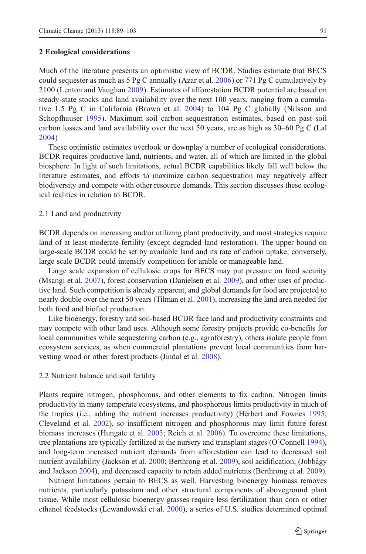#### 2 Ecological considerations

Much of the literature presents an optimistic view of BCDR. Studies estimate that BECS could sequester as much as  $5 \text{ Pg}$  C annually (Azar et al. [2006](#page-10-0)) or 771 Pg C cumulatively by 2100 (Lenton and Vaughan [2009\)](#page-12-0). Estimates of afforestation BCDR potential are based on steady-state stocks and land availability over the next 100 years, ranging from a cumulative 1.5 Pg C in California (Brown et al. [2004\)](#page-11-0) to 104 Pg C globally (Nilsson and Schopfhauser [1995](#page-13-0)). Maximum soil carbon sequestration estimates, based on past soil carbon losses and land availability over the next 50 years, are as high as 30–60 Pg C (Lal [2004](#page-12-0))

These optimistic estimates overlook or downplay a number of ecological considerations. BCDR requires productive land, nutrients, and water, all of which are limited in the global biosphere. In light of such limitations, actual BCDR capabilities likely fall well below the literature estimates, and efforts to maximize carbon sequestration may negatively affect biodiversity and compete with other resource demands. This section discusses these ecological realities in relation to BCDR.

#### 2.1 Land and productivity

BCDR depends on increasing and/or utilizing plant productivity, and most strategies require land of at least moderate fertility (except degraded land restoration). The upper bound on large-scale BCDR could be set by available land and its rate of carbon uptake; conversely, large scale BCDR could intensify competition for arable or manageable land.

Large scale expansion of cellulosic crops for BECS may put pressure on food security (Msangi et al. [2007](#page-13-0)), forest conservation (Danielsen et al. [2009](#page-11-0)), and other uses of productive land. Such competition is already apparent, and global demands for food are projected to nearly double over the next 50 years (Tilman et al. [2001](#page-14-0)), increasing the land area needed for both food and biofuel production.

Like bioenergy, forestry and soil-based BCDR face land and productivity constraints and may compete with other land uses. Although some forestry projects provide co-benefits for local communities while sequestering carbon (e.g., agroforestry), others isolate people from ecosystem services, as when commercial plantations prevent local communities from harvesting wood or other forest products (Jindal et al. [2008](#page-12-0)).

## 2.2 Nutrient balance and soil fertility

Plants require nitrogen, phosphorous, and other elements to fix carbon. Nitrogen limits productivity in many temperate ecosystems, and phosphorous limits productivity in much of the tropics (i.e., adding the nutrient increases productivity) (Herbert and Fownes [1995](#page-12-0); Cleveland et al. [2002](#page-11-0)), so insufficient nitrogen and phosphorous may limit future forest biomass increases (Hungate et al. [2003](#page-12-0); Reich et al. [2006](#page-13-0)). To overcome these limitations, tree plantations are typically fertilized at the nursery and transplant stages (O'Connell [1994](#page-13-0)), and long-term increased nutrient demands from afforestation can lead to decreased soil nutrient availability (Jackson et al. [2000;](#page-12-0) Berthrong et al. [2009\)](#page-10-0), soil acidification, (Jobbágy and Jackson [2004\)](#page-12-0), and decreased capacity to retain added nutrients (Berthrong et al. [2009](#page-10-0)).

Nutrient limitations pertain to BECS as well. Harvesting bioenergy biomass removes nutrients, particularly potassium and other structural components of aboveground plant tissue. While most cellulosic bioenergy grasses require less fertilization than corn or other ethanol feedstocks (Lewandowski et al. [2000](#page-12-0)), a series of U.S. studies determined optimal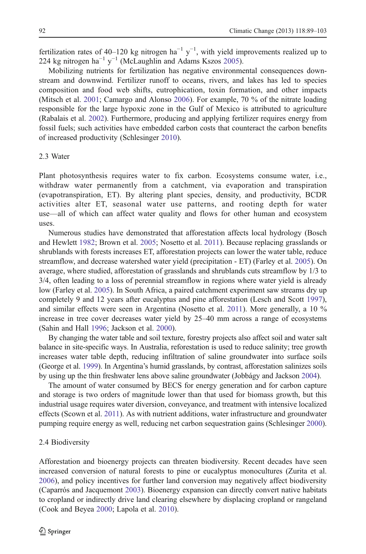fertilization rates of 40–120 kg nitrogen ha<sup>-1</sup> y<sup>-1</sup>, with yield improvements realized up to 224 kg nitrogen ha<sup>-1</sup> y<sup>-1</sup> (McLaughlin and Adams Kszos [2005](#page-12-0)).

Mobilizing nutrients for fertilization has negative environmental consequences downstream and downwind. Fertilizer runoff to oceans, rivers, and lakes has led to species composition and food web shifts, eutrophication, toxin formation, and other impacts (Mitsch et al. [2001](#page-13-0); Camargo and Alonso [2006\)](#page-11-0). For example, 70 % of the nitrate loading responsible for the large hypoxic zone in the Gulf of Mexico is attributed to agriculture (Rabalais et al. [2002](#page-13-0)). Furthermore, producing and applying fertilizer requires energy from fossil fuels; such activities have embedded carbon costs that counteract the carbon benefits of increased productivity (Schlesinger [2010\)](#page-13-0).

## 2.3 Water

Plant photosynthesis requires water to fix carbon. Ecosystems consume water, i.e., withdraw water permanently from a catchment, via evaporation and transpiration (evapotranspiration, ET). By altering plant species, density, and productivity, BCDR activities alter ET, seasonal water use patterns, and rooting depth for water use—all of which can affect water quality and flows for other human and ecosystem uses.

Numerous studies have demonstrated that afforestation affects local hydrology (Bosch and Hewlett [1982](#page-10-0); Brown et al. [2005](#page-11-0); Nosetto et al. [2011\)](#page-13-0). Because replacing grasslands or shrublands with forests increases ET, afforestation projects can lower the water table, reduce streamflow, and decrease watershed water yield (precipitation - ET) (Farley et al. [2005](#page-11-0)). On average, where studied, afforestation of grasslands and shrublands cuts streamflow by 1/3 to 3/4, often leading to a loss of perennial streamflow in regions where water yield is already low (Farley et al. [2005\)](#page-11-0). In South Africa, a paired catchment experiment saw streams dry up completely 9 and 12 years after eucalyptus and pine afforestation (Lesch and Scott [1997](#page-12-0)), and similar effects were seen in Argentina (Nosetto et al. [2011\)](#page-13-0). More generally, a 10 % increase in tree cover decreases water yield by 25–40 mm across a range of ecosystems (Sahin and Hall [1996](#page-13-0); Jackson et al. [2000\)](#page-12-0).

By changing the water table and soil texture, forestry projects also affect soil and water salt balance in site-specific ways. In Australia, reforestation is used to reduce salinity; tree growth increases water table depth, reducing infiltration of saline groundwater into surface soils (George et al. [1999\)](#page-11-0). In Argentina's humid grasslands, by contrast, afforestation salinizes soils by using up the thin freshwater lens above saline groundwater (Jobbágy and Jackson [2004\)](#page-12-0).

The amount of water consumed by BECS for energy generation and for carbon capture and storage is two orders of magnitude lower than that used for biomass growth, but this industrial usage requires water diversion, conveyance, and treatment with intensive localized effects (Scown et al. [2011\)](#page-13-0). As with nutrient additions, water infrastructure and groundwater pumping require energy as well, reducing net carbon sequestration gains (Schlesinger [2000](#page-13-0)).

## 2.4 Biodiversity

Afforestation and bioenergy projects can threaten biodiversity. Recent decades have seen increased conversion of natural forests to pine or eucalyptus monocultures (Zurita et al. [2006\)](#page-14-0), and policy incentives for further land conversion may negatively affect biodiversity (Caparrós and Jacquemont [2003](#page-11-0)). Bioenergy expansion can directly convert native habitats to cropland or indirectly drive land clearing elsewhere by displacing cropland or rangeland (Cook and Beyea [2000;](#page-11-0) Lapola et al. [2010](#page-12-0)).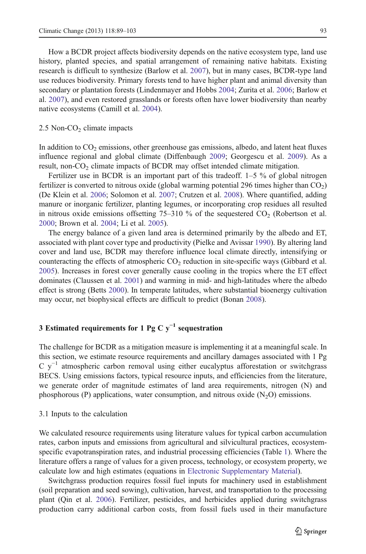How a BCDR project affects biodiversity depends on the native ecosystem type, land use history, planted species, and spatial arrangement of remaining native habitats. Existing research is difficult to synthesize (Barlow et al. [2007](#page-10-0)), but in many cases, BCDR-type land use reduces biodiversity. Primary forests tend to have higher plant and animal diversity than secondary or plantation forests (Lindenmayer and Hobbs [2004;](#page-12-0) Zurita et al. [2006](#page-14-0); Barlow et al. [2007](#page-10-0)), and even restored grasslands or forests often have lower biodiversity than nearby native ecosystems (Camill et al. [2004\)](#page-11-0).

#### $2.5$  Non-CO<sub>2</sub> climate impacts

In addition to  $CO<sub>2</sub>$  emissions, other greenhouse gas emissions, albedo, and latent heat fluxes influence regional and global climate (Diffenbaugh [2009;](#page-11-0) Georgescu et al. [2009](#page-11-0)). As a result, non- $CO<sub>2</sub>$  climate impacts of BCDR may offset intended climate mitigation.

Fertilizer use in BCDR is an important part of this tradeoff. 1–5 % of global nitrogen fertilizer is converted to nitrous oxide (global warming potential 296 times higher than  $CO<sub>2</sub>$ ) (De Klein et al. [2006](#page-11-0); Solomon et al. [2007;](#page-14-0) Crutzen et al. [2008\)](#page-11-0). Where quantified, adding manure or inorganic fertilizer, planting legumes, or incorporating crop residues all resulted in nitrous oxide emissions offsetting  $75{\text -}310$  % of the sequestered CO<sub>2</sub> (Robertson et al. [2000;](#page-13-0) Brown et al. [2004;](#page-11-0) Li et al. [2005\)](#page-12-0).

The energy balance of a given land area is determined primarily by the albedo and ET, associated with plant cover type and productivity (Pielke and Avissar [1990](#page-13-0)). By altering land cover and land use, BCDR may therefore influence local climate directly, intensifying or counteracting the effects of atmospheric  $CO<sub>2</sub>$  reduction in site-specific ways (Gibbard et al. [2005\)](#page-11-0). Increases in forest cover generally cause cooling in the tropics where the ET effect dominates (Claussen et al. [2001](#page-11-0)) and warming in mid- and high-latitudes where the albedo effect is strong (Betts [2000](#page-10-0)). In temperate latitudes, where substantial bioenergy cultivation may occur, net biophysical effects are difficult to predict (Bonan [2008\)](#page-10-0).

## 3 Estimated requirements for 1 Pg C  $y^{-1}$  sequestration

The challenge for BCDR as a mitigation measure is implementing it at a meaningful scale. In this section, we estimate resource requirements and ancillary damages associated with 1 Pg  $C$  y<sup>-1</sup> atmospheric carbon removal using either eucalyptus afforestation or switchgrass BECS. Using emissions factors, typical resource inputs, and efficiencies from the literature, we generate order of magnitude estimates of land area requirements, nitrogen (N) and phosphorous (P) applications, water consumption, and nitrous oxide  $(N_2O)$  emissions.

#### 3.1 Inputs to the calculation

We calculated resource requirements using literature values for typical carbon accumulation rates, carbon inputs and emissions from agricultural and silvicultural practices, ecosystemspecific evapotranspiration rates, and industrial processing efficiencies (Table [1\)](#page-5-0). Where the literature offers a range of values for a given process, technology, or ecosystem property, we calculate low and high estimates (equations in Electronic Supplementary Material).

Switchgrass production requires fossil fuel inputs for machinery used in establishment (soil preparation and seed sowing), cultivation, harvest, and transportation to the processing plant (Qin et al. [2006](#page-13-0)). Fertilizer, pesticides, and herbicides applied during switchgrass production carry additional carbon costs, from fossil fuels used in their manufacture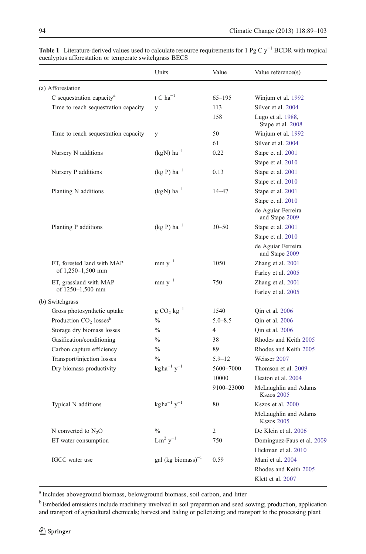Klett et al. [2007](#page-12-0)

|                                       | Units                                          | Value          | Value reference(s)                        |
|---------------------------------------|------------------------------------------------|----------------|-------------------------------------------|
| (a) Afforestation                     |                                                |                |                                           |
| C sequestration capacity <sup>a</sup> | t C ha $^{-1}$                                 | $65 - 195$     | Winjum et al. 1992                        |
| Time to reach sequestration capacity  | y                                              | 113            | Silver et al. 2004                        |
|                                       |                                                | 158            | Lugo et al. 1988,<br>Stape et al. 2008    |
| Time to reach sequestration capacity  | y                                              | 50             | Winjum et al. 1992                        |
|                                       |                                                | 61             | Silver et al. 2004                        |
| Nursery N additions                   | (kgN) $\mathrm{ha}^{-1}$                       | 0.22           | Stape et al. 2001                         |
|                                       |                                                |                | Stape et al. 2010                         |
| Nursery P additions                   | $(kg P) ha^{-1}$                               | 0.13           | Stape et al. 2001                         |
|                                       |                                                |                | Stape et al. 2010                         |
| Planting N additions                  | $(kgN)$ ha <sup>-1</sup>                       | $14 - 47$      | Stape et al. 2001                         |
|                                       |                                                |                | Stape et al. 2010                         |
|                                       |                                                |                | de Aguiar Ferreira<br>and Stape 2009      |
| Planting P additions                  | $(kg P) ha^{-1}$                               | $30 - 50$      | Stape et al. 2001                         |
|                                       |                                                |                | Stape et al. 2010                         |
|                                       |                                                |                | de Aguiar Ferreira<br>and Stape 2009      |
| ET, forested land with MAP            | $mm y^{-1}$                                    | 1050           | Zhang et al. 2001                         |
| of 1,250–1,500 mm                     |                                                |                | Farley et al. 2005                        |
| ET, grassland with MAP                | $\text{mm} \text{ y}^{-1}$                     | 750            | Zhang et al. 2001                         |
| of 1250-1,500 mm                      |                                                |                | Farley et al. 2005                        |
| (b) Switchgrass                       |                                                |                |                                           |
| Gross photosynthetic uptake           | $g CO$ , $kg^{-1}$                             | 1540           | Qin et al. 2006                           |
| Production $CO2$ losses <sup>b</sup>  | $\frac{0}{0}$                                  | $5.0 - 8.5$    | Qin et al. 2006                           |
| Storage dry biomass losses            | $\frac{0}{0}$                                  | $\overline{4}$ | Qin et al. 2006                           |
| Gasification/conditioning             | $\frac{0}{0}$                                  | 38             | Rhodes and Keith 2005                     |
| Carbon capture efficiency             | $\frac{0}{0}$                                  | 89             | Rhodes and Keith 2005                     |
| Transport/injection losses            | $\frac{0}{0}$                                  | $5.9 - 12$     | Weisser 2007                              |
| Dry biomass productivity              | $\text{kg} \, \text{ha}^{-1} \, \text{y}^{-1}$ | 5600-7000      | Thomson et al. 2009                       |
|                                       |                                                | 10000          | Heaton et al. 2004                        |
|                                       |                                                | 9100-23000     | McLaughlin and Adams<br><b>Kszos 2005</b> |
| Typical N additions                   | $kgha^{-1}y^{-1}$                              | 80             | Kszos et al. 2000                         |
|                                       |                                                |                | McLaughlin and Adams<br><b>Kszos 2005</b> |
| N converted to $N_2O$                 | $\frac{0}{0}$                                  | $\overline{2}$ | De Klein et al. 2006                      |
| ET water consumption                  | $Lm^2 y^{-1}$                                  | 750            | Dominguez-Faus et al. 2009                |
|                                       |                                                |                | Hickman et al. 2010                       |
| IGCC water use                        | gal (kg biomass) $^{-1}$                       | 0.59           | Mani et al. 2004                          |
|                                       |                                                |                | Rhodes and Keith 2005                     |

<span id="page-5-0"></span>Table 1 Literature-derived values used to calculate resource requirements for 1 Pg C y<sup>-1</sup> BCDR with tropical eucalyptus afforestation or temperate switchgrass BECS

<sup>a</sup> Includes aboveground biomass, belowground biomass, soil carbon, and litter

<sup>b</sup> Embedded emissions include machinery involved in soil preparation and seed sowing; production, application and transport of agricultural chemicals; harvest and baling or pelletizing; and transport to the processing plant

l,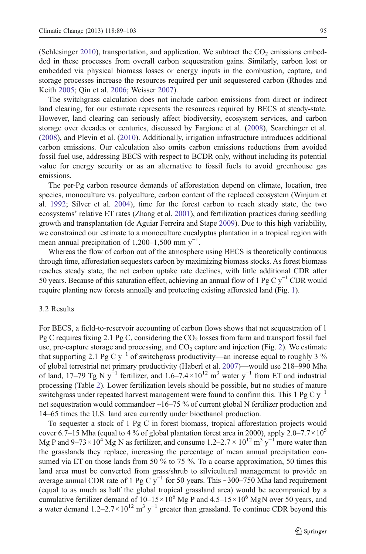(Schlesinger [2010](#page-13-0)), transportation, and application. We subtract the  $CO<sub>2</sub>$  emissions embedded in these processes from overall carbon sequestration gains. Similarly, carbon lost or embedded via physical biomass losses or energy inputs in the combustion, capture, and storage processes increase the resources required per unit sequestered carbon (Rhodes and Keith [2005](#page-13-0); Qin et al. [2006;](#page-13-0) Weisser [2007\)](#page-14-0).

The switchgrass calculation does not include carbon emissions from direct or indirect land clearing, for our estimate represents the resources required by BECS at steady-state. However, land clearing can seriously affect biodiversity, ecosystem services, and carbon storage over decades or centuries, discussed by Fargione et al. [\(2008](#page-11-0)), Searchinger et al. ([2008\)](#page-14-0), and Plevin et al. [\(2010](#page-13-0)). Additionally, irrigation infrastructure introduces additional carbon emissions. Our calculation also omits carbon emissions reductions from avoided fossil fuel use, addressing BECS with respect to BCDR only, without including its potential value for energy security or as an alternative to fossil fuels to avoid greenhouse gas emissions.

The per-Pg carbon resource demands of afforestation depend on climate, location, tree species, monoculture vs. polyculture, carbon content of the replaced ecosystem (Winjum et al. [1992](#page-14-0); Silver et al. [2004](#page-14-0)), time for the forest carbon to reach steady state, the two ecosystems' relative ET rates (Zhang et al. [2001\)](#page-14-0), and fertilization practices during seedling growth and transplantation (de Aguiar Ferreira and Stape [2009](#page-11-0)). Due to this high variability, we constrained our estimate to a monoculture eucalyptus plantation in a tropical region with mean annual precipitation of 1,200–1,500 mm  $y^{-1}$ .

Whereas the flow of carbon out of the atmosphere using BECS is theoretically continuous through time, afforestation sequesters carbon by maximizing biomass stocks. As forest biomass reaches steady state, the net carbon uptake rate declines, with little additional CDR after 50 years. Because of this saturation effect, achieving an annual flow of 1 Pg C y<sup>−1</sup> CDR would require planting new forests annually and protecting existing afforested land (Fig. [1\)](#page-7-0).

## 3.2 Results

For BECS, a field-to-reservoir accounting of carbon flows shows that net sequestration of 1 Pg C requires fixing 2.1 Pg C, considering the  $CO<sub>2</sub>$  losses from farm and transport fossil fuel use, pre-capture storage and processing, and  $CO<sub>2</sub>$  $CO<sub>2</sub>$  $CO<sub>2</sub>$  capture and injection (Fig. 2). We estimate that supporting 2.1 Pg C y<sup>-1</sup> of switchgrass productivity—an increase equal to roughly 3 % of global terrestrial net primary productivity (Haberl et al. [2007](#page-11-0))—would use 218–990 Mha of land, 17–79 Tg N y<sup>-1</sup> fertilizer, and  $1.6-7.4\times10^{12}$  m<sup>3</sup> water y<sup>-1</sup> from ET and industrial processing (Table [2\)](#page-8-0). Lower fertilization levels should be possible, but no studies of mature switchgrass under repeated harvest management were found to confirm this. This 1 Pg C  $y^{-1}$ net sequestration would commandeer ~16–75 % of current global N fertilizer production and 14–65 times the U.S. land area currently under bioethanol production.

To sequester a stock of 1 Pg C in forest biomass, tropical afforestation projects would cover 6.7–15 Mha (equal to 4 % of global plantation forest area in 2000), apply 2.0–7.7  $\times$  10<sup>5</sup> Mg P and 9–73 × 10<sup>4</sup> Mg N as fertilizer, and consume  $1.2-2.7 \times 10^{12}$  m<sup>3</sup> y<sup>-1</sup> more water than the grasslands they replace, increasing the percentage of mean annual precipitation consumed via ET on those lands from 50 % to 75 %. To a coarse approximation, 50 times this land area must be converted from grass/shrub to silvicultural management to provide an average annual CDR rate of 1 Pg C  $y^{-1}$  for 50 years. This ~300–750 Mha land requirement (equal to as much as half the global tropical grassland area) would be accompanied by a cumulative fertilizer demand of  $10-15\times10^6$  Mg P and  $4.5-15\times10^6$  MgN over 50 years, and a water demand  $1.2-2.7\times10^{12}$  m<sup>3</sup> y<sup>-1</sup> greater than grassland. To continue CDR beyond this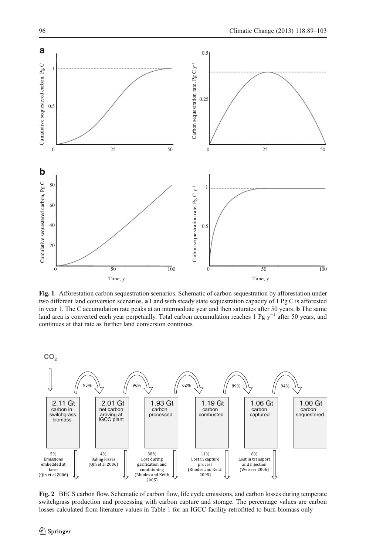<span id="page-7-0"></span>

Fig. 1 Afforestation carbon sequestration scenarios. Schematic of carbon sequestration by afforestation under two different land conversion scenarios. a Land with steady state sequestration capacity of 1 Pg C is afforested in year 1. The C accumulation rate peaks at an intermediate year and then saturates after 50 years. b The same land area is converted each year perpetually. Total carbon accumulation reaches 1 Pg y−<sup>1</sup> after 50 years, and continues at that rate as further land conversion continues





Fig. 2 BECS carbon flow. Schematic of carbon flow, life cycle emissions, and carbon losses during temperate switchgrass production and processing with carbon capture and storage. The percentage values are carbon losses calculated from literature values in Table [1](#page-5-0) for an IGCC facility retrofitted to burn biomass only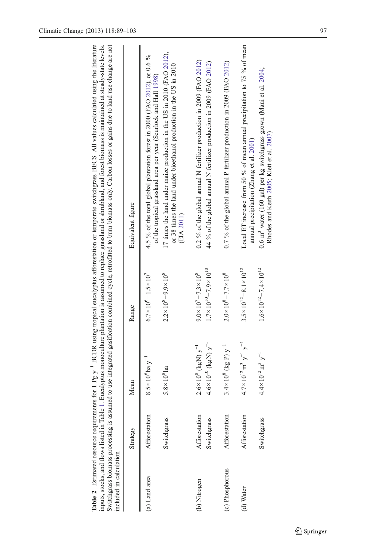<span id="page-8-0"></span>

| included in calculation |                              |                                                                         |                                                                                      | Switchgrass biomass processing is assumed to use integrated gasification combined cycle, retrofitted to burn biomass only. Carbon losses or gains due to land use change are not<br>inputs, stocks, and flows listed in Table 1. Eucalyptus monoculture plantation is assumed to replace grassland or shrubland, and forest biomass is maintained at steady-state levels. |
|-------------------------|------------------------------|-------------------------------------------------------------------------|--------------------------------------------------------------------------------------|---------------------------------------------------------------------------------------------------------------------------------------------------------------------------------------------------------------------------------------------------------------------------------------------------------------------------------------------------------------------------|
|                         | Strategy                     | Mean                                                                    | Range                                                                                | Equivalent figure                                                                                                                                                                                                                                                                                                                                                         |
| (a) Land area           | Afforestation                | $8.5 \times 10^{6}$ ha y <sup>-1</sup>                                  | $6.7 \times 10^6 - 1.5 \times 10^7$                                                  | 4.5 % of the total global plantation forest in 2000 (FAO 2012), or 0.6 %<br>of the tropical grassland area per year (Scurlock and Hall 1998)                                                                                                                                                                                                                              |
|                         | Switchgrass                  | $5.8 \times 10^8$ ha                                                    | $2.2 \times 10^8 - 9.9 \times 10^8$                                                  | 17 times the land under maize production in the US in 2010 (FAO 2012),<br>or 38 times the land under bioethanol production in the US in 2010<br>(EIA 2011)                                                                                                                                                                                                                |
| (b) Nitrogen            | Afforestation<br>Switchgrass | $4.6 \times 10^{10}$ (kgN) $y^{-1}$<br>$2.6 \times 10^8$ (kgN) $y^{-1}$ | $1.7 \times 10^{10} - 7.9 \times 10^{10}$<br>$9.0 \times 10^{7} - 7.3 \times 10^{8}$ | 0.2 % of the global annual N fertilizer production in 2009 (FAO 2012)<br>44 % of the global annual N fertilizer production in 2009 (FAO 2012)                                                                                                                                                                                                                             |
| (c) Phosphorous         | Afforestation                | $3.4 \times 10^8$ (kg P) $y^{-1}$                                       | $2.0 \times 10^8 - 7.7 \times 10^8$                                                  | 0.7 % of the global annual P fertilizer production in 2009 (FAO 2012)                                                                                                                                                                                                                                                                                                     |
| (d) Water               | Afforestation                | $4.7 \times 10^{12}$ m <sup>3</sup> y <sup>-1</sup> y <sup>-1</sup>     | $3.5 \times 10^{12} - 8.1 \times 10^{12}$                                            | Local ET increase from 50 % of mean annual precipitation to 75 % of mean<br>amual precipitation (Zhang et al. 2001)                                                                                                                                                                                                                                                       |
|                         | Switchgrass                  | $4.4 \times 10^{12}$ m <sup>3</sup> y <sup>-1</sup>                     | $1.6 \times 10^{12} - 7.4 \times 10^{12}$                                            | 0.6 m <sup>3</sup> water (160 gal) per kg switchgrass grown (Mani et al. 2004;<br>Rhodes and Keith 2005; Klett et al. 2007)                                                                                                                                                                                                                                               |
|                         |                              |                                                                         |                                                                                      |                                                                                                                                                                                                                                                                                                                                                                           |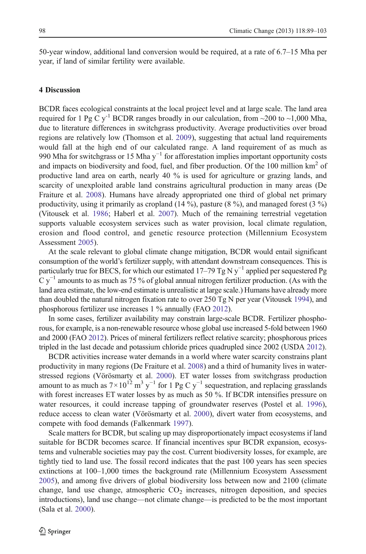50-year window, additional land conversion would be required, at a rate of 6.7–15 Mha per year, if land of similar fertility were available.

## 4 Discussion

BCDR faces ecological constraints at the local project level and at large scale. The land area required for 1 Pg C y<sup>-1</sup> BCDR ranges broadly in our calculation, from  $\sim$ 200 to  $\sim$ 1,000 Mha, due to literature differences in switchgrass productivity. Average productivities over broad regions are relatively low (Thomson et al. [2009](#page-14-0)), suggesting that actual land requirements would fall at the high end of our calculated range. A land requirement of as much as 990 Mha for switchgrass or 15 Mha y<sup>-1</sup> for afforestation implies important opportunity costs and impacts on biodiversity and food, fuel, and fiber production. Of the 100 million km<sup>2</sup> of productive land area on earth, nearly 40 % is used for agriculture or grazing lands, and scarcity of unexploited arable land constrains agricultural production in many areas (De Fraiture et al. [2008](#page-11-0)). Humans have already appropriated one third of global net primary productivity, using it primarily as cropland (14 %), pasture (8 %), and managed forest (3 %) (Vitousek et al. [1986](#page-14-0); Haberl et al. [2007](#page-11-0)). Much of the remaining terrestrial vegetation supports valuable ecosystem services such as water provision, local climate regulation, erosion and flood control, and genetic resource protection (Millennium Ecosystem Assessment [2005\)](#page-13-0).

At the scale relevant to global climate change mitigation, BCDR would entail significant consumption of the world's fertilizer supply, with attendant downstream consequences. This is particularly true for BECS, for which our estimated 17–79 Tg N y−<sup>1</sup> applied per sequestered Pg  $C y^{-1}$  amounts to as much as 75 % of global annual nitrogen fertilizer production. (As with the land area estimate, the low-end estimate is unrealistic at large scale.) Humans have already more than doubled the natural nitrogen fixation rate to over 250 Tg N per year (Vitousek [1994\)](#page-14-0), and phosphorous fertilizer use increases 1 % annually (FAO [2012\)](#page-11-0).

In some cases, fertilizer availability may constrain large-scale BCDR. Fertilizer phosphorous, for example, is a non-renewable resource whose global use increased 5-fold between 1960 and 2000 (FAO [2012\)](#page-11-0). Prices of mineral fertilizers reflect relative scarcity; phosphorous prices tripled in the last decade and potassium chloride prices quadrupled since 2002 (USDA [2012\)](#page-14-0).

BCDR activities increase water demands in a world where water scarcity constrains plant productivity in many regions (De Fraiture et al. [2008](#page-11-0)) and a third of humanity lives in waterstressed regions (Vörösmarty et al. [2000\)](#page-14-0). ET water losses from switchgrass production amount to as much as  $7\times10^{12}$  m<sup>3</sup> y<sup>-1</sup> for 1 Pg C y<sup>-1</sup> sequestration, and replacing grasslands with forest increases ET water losses by as much as 50 %. If BCDR intensifies pressure on water resources, it could increase tapping of groundwater reserves (Postel et al. [1996](#page-13-0)), reduce access to clean water (Vörösmarty et al. [2000\)](#page-14-0), divert water from ecosystems, and compete with food demands (Falkenmark [1997\)](#page-11-0).

Scale matters for BCDR, but scaling up may disproportionately impact ecosystems if land suitable for BCDR becomes scarce. If financial incentives spur BCDR expansion, ecosystems and vulnerable societies may pay the cost. Current biodiversity losses, for example, are tightly tied to land use. The fossil record indicates that the past 100 years has seen species extinctions at 100–1,000 times the background rate (Millennium Ecosystem Assessment [2005\)](#page-13-0), and among five drivers of global biodiversity loss between now and 2100 (climate change, land use change, atmospheric  $CO<sub>2</sub>$  increases, nitrogen deposition, and species introductions), land use change—not climate change—is predicted to be the most important (Sala et al. [2000](#page-13-0)).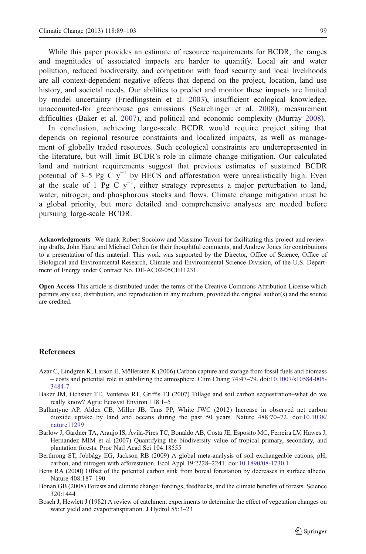<span id="page-10-0"></span>While this paper provides an estimate of resource requirements for BCDR, the ranges and magnitudes of associated impacts are harder to quantify. Local air and water pollution, reduced biodiversity, and competition with food security and local livelihoods are all context-dependent negative effects that depend on the project, location, land use history, and societal needs. Our abilities to predict and monitor these impacts are limited by model uncertainty (Friedlingstein et al. [2003\)](#page-11-0), insufficient ecological knowledge, unaccounted-for greenhouse gas emissions (Searchinger et al. [2008](#page-14-0)), measurement difficulties (Baker et al. 2007), and political and economic complexity (Murray [2008\)](#page-13-0).

In conclusion, achieving large-scale BCDR would require project siting that depends on regional resource constraints and localized impacts, as well as management of globally traded resources. Such ecological constraints are underrepresented in the literature, but will limit BCDR's role in climate change mitigation. Our calculated land and nutrient requirements suggest that previous estimates of sustained BCDR potential of 3–5 Pg C y<sup>-1</sup> by BECS and afforestation were unrealistically high. Even at the scale of 1 Pg C y<sup>-1</sup>, either strategy represents a major perturbation to land, water, nitrogen, and phosphorous stocks and flows. Climate change mitigation must be a global priority, but more detailed and comprehensive analyses are needed before pursuing large-scale BCDR.

Acknowledgments We thank Robert Socolow and Massimo Tavoni for facilitating this project and reviewing drafts, John Harte and Michael Cohen for their thoughtful comments, and Andrew Jones for contributions to a presentation of this material. This work was supported by the Director, Office of Science, Office of Biological and Environmental Research, Climate and Environmental Science Division, of the U.S. Department of Energy under Contract No. DE-AC02-05CH11231.

Open Access This article is distributed under the terms of the Creative Commons Attribution License which permits any use, distribution, and reproduction in any medium, provided the original author(s) and the source are credited.

## References

- Azar C, Lindgren K, Larson E, Möllersten K (2006) Carbon capture and storage from fossil fuels and biomass – costs and potential role in stabilizing the atmosphere. Clim Chang 74:47–79. doi:[10.1007/s10584-005-](http://dx.doi.org/10.1007/s10584-005-3484-7) [3484-7](http://dx.doi.org/10.1007/s10584-005-3484-7)
- Baker JM, Ochsner TE, Venterea RT, Griffis TJ (2007) Tillage and soil carbon sequestration–what do we really know? Agric Ecosyst Environ 118:1–5
- Ballantyne AP, Alden CB, Miller JB, Tans PP, White JWC (2012) Increase in observed net carbon dioxide uptake by land and oceans during the past 50 years. Nature 488:70–72. doi:[10.1038/](http://dx.doi.org/10.1038/nature11299) [nature11299](http://dx.doi.org/10.1038/nature11299)
- Barlow J, Gardner TA, Araujo IS, Ávila-Pires TC, Bonaldo AB, Costa JE, Esposito MC, Ferreira LV, Hawes J, Hernandez MIM et al (2007) Quantifying the biodiversity value of tropical primary, secondary, and plantation forests. Proc Natl Acad Sci 104:18555
- Berthrong ST, Jobbágy EG, Jackson RB (2009) A global meta-analysis of soil exchangeable cations, pH, carbon, and nitrogen with afforestation. Ecol Appl 19:2228–2241. doi:[10.1890/08-1730.1](http://dx.doi.org/10.1890/08-1730.1)
- Betts RA (2000) Offset of the potential carbon sink from boreal forestation by decreases in surface albedo. Nature 408:187–190
- Bonan GB (2008) Forests and climate change: forcings, feedbacks, and the climate benefits of forests. Science 320:1444
- Bosch J, Hewlett J (1982) A review of catchment experiments to determine the effect of vegetation changes on water yield and evapotranspiration. J Hydrol 55:3–23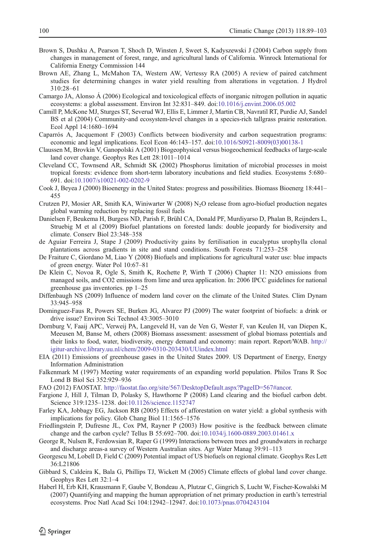- <span id="page-11-0"></span>Brown S, Dushku A, Pearson T, Shoch D, Winsten J, Sweet S, Kadyszewski J (2004) Carbon supply from changes in management of forest, range, and agricultural lands of California. Winrock International for California Energy Commission 144
- Brown AE, Zhang L, McMahon TA, Western AW, Vertessy RA (2005) A review of paired catchment studies for determining changes in water yield resulting from alterations in vegetation. J Hydrol 310:28–61
- Camargo JA, Alonso Á (2006) Ecological and toxicological effects of inorganic nitrogen pollution in aquatic ecosystems: a global assessment. Environ Int 32:831–849. doi:[10.1016/j.envint.2006.05.002](http://dx.doi.org/10.1016/j.envint.2006.05.002)
- Camill P, McKone MJ, Sturges ST, Severud WJ, Ellis E, Limmer J, Martin CB, Navratil RT, Purdie AJ, Sandel BS et al (2004) Community-and ecosystem-level changes in a species-rich tallgrass prairie restoration. Ecol Appl 14:1680–1694
- Caparrós A, Jacquemont F (2003) Conflicts between biodiversity and carbon sequestration programs: economic and legal implications. Ecol Econ 46:143–157. doi[:10.1016/S0921-8009\(03\)00138-1](http://dx.doi.org/10.1016/S0921-8009(03)00138-1)
- Claussen M, Brovkin V, Ganopolski A (2001) Biogeophysical versus biogeochemical feedbacks of large-scale land cover change. Geophys Res Lett 28:1011–1014
- Cleveland CC, Townsend AR, Schmidt SK (2002) Phosphorus limitation of microbial processes in moist tropical forests: evidence from short-term laboratory incubations and field studies. Ecosystems 5:680– 691. doi[:10.1007/s10021-002-0202-9](http://dx.doi.org/10.1007/s10021-002-0202-9)
- Cook J, Beyea J (2000) Bioenergy in the United States: progress and possibilities. Biomass Bioenerg 18:441– 455
- Crutzen PJ, Mosier AR, Smith KA, Winiwarter W  $(2008)$  N<sub>2</sub>O release from agro-biofuel production negates global warming reduction by replacing fossil fuels
- Danielsen F, Beukema H, Burgess ND, Parish F, Brühl CA, Donald PF, Murdiyarso D, Phalan B, Reijnders L, Struebig M et al (2009) Biofuel plantations on forested lands: double jeopardy for biodiversity and climate. Conserv Biol 23:348–358
- de Aguiar Ferreira J, Stape J (2009) Productivity gains by fertilisation in eucalyptus urophylla clonal plantations across gradients in site and stand conditions. South Forests 71:253–258
- De Fraiture C, Giordano M, Liao Y (2008) Biofuels and implications for agricultural water use: blue impacts of green energy. Water Pol 10:67–81
- De Klein C, Novoa R, Ogle S, Smith K, Rochette P, Wirth T (2006) Chapter 11: N2O emissions from managed soils, and CO2 emissions from lime and urea application. In: 2006 IPCC guidelines for national greenhouse gas inventories. pp 1–25
- Diffenbaugh NS (2009) Influence of modern land cover on the climate of the United States. Clim Dynam 33:945–958
- Dominguez-Faus R, Powers SE, Burken JG, Alvarez PJ (2009) The water footprint of biofuels: a drink or drive issue? Environ Sci Technol 43:3005–3010
- Dornburg V, Faaij APC, Verweij PA, Langeveld H, van de Ven G, Wester F, van Keulen H, van Diepen K, Meeusen M, Banse M, others (2008) Biomass assessment: assessment of global biomass potentials and their links to food, water, biodiversity, energy demand and economy: main report. Report/WAB. [http://](http://igitur-archive.library.uu.nl/chem/2009-0310-203430/UUindex.html) [igitur-archive.library.uu.nl/chem/2009-0310-203430/UUindex.html](http://igitur-archive.library.uu.nl/chem/2009-0310-203430/UUindex.html)
- EIA (2011) Emissions of greenhouse gases in the United States 2009. US Department of Energy, Energy Information Administration
- Falkenmark M (1997) Meeting water requirements of an expanding world population. Philos Trans R Soc Lond B Biol Sci 352:929–936
- FAO (2012) FAOSTAT. [http://faostat.fao.org/site/567/DesktopDefault.aspx?PageID=567#ancor.](http://faostat.fao.org/site/567/DesktopDefault.aspx?PageID=567#ancor)
- Fargione J, Hill J, Tilman D, Polasky S, Hawthorne P (2008) Land clearing and the biofuel carbon debt. Science 319:1235–1238. doi[:10.1126/science.1152747](http://dx.doi.org/10.1126/science.1152747)
- Farley KA, Jobbagy EG, Jackson RB (2005) Effects of afforestation on water yield: a global synthesis with implications for policy. Glob Chang Biol 11:1565–1576
- Friedlingstein P, Dufresne JL, Cox PM, Rayner P (2003) How positive is the feedback between climate change and the carbon cycle? Tellus B 55:692–700. doi[:10.1034/j.1600-0889.2003.01461.x](http://dx.doi.org/10.1034/j.1600-0889.2003.01461.x)
- George R, Nulsen R, Ferdowsian R, Raper G (1999) Interactions between trees and groundwaters in recharge and discharge areas-a survey of Western Australian sites. Agr Water Manag 39:91–113
- Georgescu M, Lobell D, Field C (2009) Potential impact of US biofuels on regional climate. Geophys Res Lett 36:L21806
- Gibbard S, Caldeira K, Bala G, Phillips TJ, Wickett M (2005) Climate effects of global land cover change. Geophys Res Lett 32:1–4
- Haberl H, Erb KH, Krausmann F, Gaube V, Bondeau A, Plutzar C, Gingrich S, Lucht W, Fischer-Kowalski M (2007) Quantifying and mapping the human appropriation of net primary production in earth's terrestrial ecosystems. Proc Natl Acad Sci 104:12942–12947. doi[:10.1073/pnas.0704243104](http://dx.doi.org/10.1073/pnas.0704243104)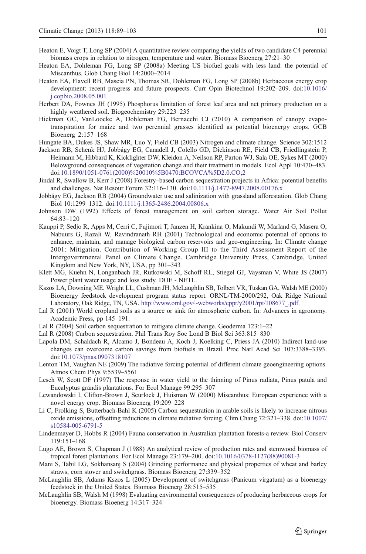- <span id="page-12-0"></span>Heaton E, Voigt T, Long SP (2004) A quantitative review comparing the yields of two candidate C4 perennial biomass crops in relation to nitrogen, temperature and water. Biomass Bioenerg 27:21–30
- Heaton EA, Dohleman FG, Long SP (2008a) Meeting US biofuel goals with less land: the potential of Miscanthus. Glob Chang Biol 14:2000–2014
- Heaton EA, Flavell RB, Mascia PN, Thomas SR, Dohleman FG, Long SP (2008b) Herbaceous energy crop development: recent progress and future prospects. Curr Opin Biotechnol 19:202–209. doi:[10.1016/](http://dx.doi.org/10.1016/j.copbio.2008.05.001) [j.copbio.2008.05.001](http://dx.doi.org/10.1016/j.copbio.2008.05.001)
- Herbert DA, Fownes JH (1995) Phosphorus limitation of forest leaf area and net primary production on a highly weathered soil. Biogeochemistry 29:223–235
- Hickman GC, VanLoocke A, Dohleman FG, Bernacchi CJ (2010) A comparison of canopy evapotranspiration for maize and two perennial grasses identified as potential bioenergy crops. GCB Bioenerg 2:157–168

Hungate BA, Dukes JS, Shaw MR, Luo Y, Field CB (2003) Nitrogen and climate change. Science 302:1512

- Jackson RB, Schenk HJ, Jobbágy EG, Canadell J, Colello GD, Dickinson RE, Field CB, Friedlingstein P, Heimann M, Hibbard K, Kicklighter DW, Kleidon A, Neilson RP, Parton WJ, Sala OE, Sykes MT (2000) Belowground consequences of vegetation change and their treatment in models. Ecol Appl 10:470–483. doi:[10.1890/1051-0761\(2000\)%20010%5B0470:BCOVCA%5D2.0.CO;2](http://dx.doi.org/10.1890/1051-0761(2000)%20010%5B0470:BCOVCA%5D2.0.CO;2)
- Jindal R, Swallow B, Kerr J (2008) Forestry–based carbon sequestration projects in Africa: potential benefits and challenges. Nat Resour Forum 32:116–130. doi[:10.1111/j.1477-8947.2008.00176.x](http://dx.doi.org/10.1111/j.1477-8947.2008.00176.x)
- Jobbágy EG, Jackson RB (2004) Groundwater use and salinization with grassland afforestation. Glob Chang Biol 10:1299–1312. doi[:10.1111/j.1365-2486.2004.00806.x](http://dx.doi.org/10.1111/j.1365-2486.2004.00806.x)
- Johnson DW (1992) Effects of forest management on soil carbon storage. Water Air Soil Pollut 64:83–120
- Kauppi P, Sedjo R, Apps M, Cerri C, Fujimori T, Janzen H, Krankina O, Makundi W, Marland G, Masera O, Nabuurs G, Razali W, Ravindranath RH (2001) Technological and economic potential of options to enhance, maintain, and manage biological carbon reservoirs and geo-engineering. In: Climate change 2001: Mitigation. Contribution of Working Group III to the Third Assessment Report of the Intergovernmental Panel on Climate Change. Cambridge University Press, Cambridge, United Kingdom and New York, NY, USA, pp 301–343
- Klett MG, Kuehn N, Longanbach JR, Rutkowski M, Schoff RL, Stiegel GJ, Vaysman V, White JS (2007) Power plant water usage and loss study. DOE - NETL.
- Kszos LA, Downing ME, Wright LL, Cushman JH, McLaughlin SB, Tolbert VR, Tuskan GA, Walsh ME (2000) Bioenergy feedstock development program status report. ORNL/TM-2000/292, Oak Ridge National Laboratory, Oak Ridge, TN, USA. [http://www.ornl.gov/~webworks/cppr/y2001/rpt/108677\\_.pdf](http://www.ornl.gov/~webworks/cppr/y2001/rpt/108677_.pdf).
- Lal R (2001) World cropland soils as a source or sink for atmospheric carbon. In: Advances in agronomy. Academic Press, pp 145–191.
- Lal R (2004) Soil carbon sequestration to mitigate climate change. Geoderma 123:1–22
- Lal R (2008) Carbon sequestration. Phil Trans Roy Soc Lond B Biol Sci 363:815–830
- Lapola DM, Schaldach R, Alcamo J, Bondeau A, Koch J, Koelking C, Priess JA (2010) Indirect land-use changes can overcome carbon savings from biofuels in Brazil. Proc Natl Acad Sci 107:3388–3393. doi:[10.1073/pnas.0907318107](http://dx.doi.org/10.1073/pnas.0907318107)
- Lenton TM, Vaughan NE (2009) The radiative forcing potential of different climate geoengineering options. Atmos Chem Phys 9:5539–5561
- Lesch W, Scott DF (1997) The response in water yield to the thinning of Pinus radiata, Pinus patula and Eucalyptus grandis plantations. For Ecol Manage 99:295–307
- Lewandowski I, Clifton-Brown J, Scurlock J, Huisman W (2000) Miscanthus: European experience with a novel energy crop. Biomass Bioenerg 19:209–228
- Li C, Frolking S, Butterbach-Bahl K (2005) Carbon sequestration in arable soils is likely to increase nitrous oxide emissions, offsetting reductions in climate radiative forcing. Clim Chang 72:321–338. doi:[10.1007/](http://dx.doi.org/10.1007/s10584-005-6791-5) [s10584-005-6791-5](http://dx.doi.org/10.1007/s10584-005-6791-5)
- Lindenmayer D, Hobbs R (2004) Fauna conservation in Australian plantation forests-a review. Biol Conserv 119:151–168
- Lugo AE, Brown S, Chapman J (1988) An analytical review of production rates and stemwood biomass of tropical forest plantations. For Ecol Manage 23:179–200. doi:[10.1016/0378-1127\(88\)90081-3](http://dx.doi.org/10.1016/0378-1127(88)90081-3)
- Mani S, Tabil LG, Sokhansanj S (2004) Grinding performance and physical properties of wheat and barley straws, corn stover and switchgrass. Biomass Bioenerg 27:339–352
- McLaughlin SB, Adams Kszos L (2005) Development of switchgrass (Panicum virgatum) as a bioenergy feedstock in the United States. Biomass Bioenerg 28:515–535
- McLaughlin SB, Walsh M (1998) Evaluating environmental consequences of producing herbaceous crops for bioenergy. Biomass Bioenerg 14:317–324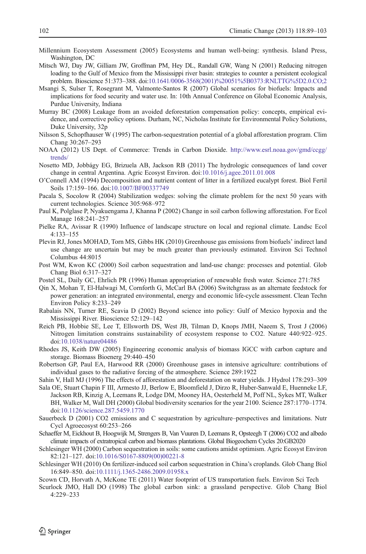- <span id="page-13-0"></span>Millennium Ecosystem Assessment (2005) Ecosystems and human well-being: synthesis. Island Press, Washington, DC
- Mitsch WJ, Day JW, Gilliam JW, Groffman PM, Hey DL, Randall GW, Wang N (2001) Reducing nitrogen loading to the Gulf of Mexico from the Mississippi river basin: strategies to counter a persistent ecological problem. Bioscience 51:373–388. doi[:10.1641/0006-3568\(2001\)%20051%5B0373:RNLTTG%5D2.0.CO;2](http://dx.doi.org/10.1641/0006-3568(2001)%20051%5B0373:RNLTTG%5D2.0.CO;2)
- Msangi S, Sulser T, Rosegrant M, Valmonte-Santos R (2007) Global scenarios for biofuels: Impacts and implications for food security and water use. In: 10th Annual Conference on Global Economic Analysis, Purdue University, Indiana
- Murray BC (2008) Leakage from an avoided deforestation compensation policy: concepts, empirical evidence, and corrective policy options. Durham, NC, Nicholas Institute for Environmental Policy Solutions, Duke University, 32p
- Nilsson S, Schopfhauser W (1995) The carbon-sequestration potential of a global afforestation program. Clim Chang 30:267–293
- NOAA (2012) US Dept. of Commerce: Trends in Carbon Dioxide. [http://www.esrl.noaa.gov/gmd/ccgg/](http://www.esrl.noaa.gov/gmd/ccgg/trends/) [trends/](http://www.esrl.noaa.gov/gmd/ccgg/trends/)
- Nosetto MD, Jobbágy EG, Brizuela AB, Jackson RB (2011) The hydrologic consequences of land cover change in central Argentina. Agric Ecosyst Environ. doi:[10.1016/j.agee.2011.01.008](http://dx.doi.org/10.1016/j.agee.2011.01.008)
- O'Connell AM (1994) Decomposition and nutrient content of litter in a fertilized eucalypt forest. Biol Fertil Soils 17:159–166. doi[:10.1007/BF00337749](http://dx.doi.org/10.1007/BF00337749)
- Pacala S, Socolow R (2004) Stabilization wedges: solving the climate problem for the next 50 years with current technologies. Science 305:968–972
- Paul K, Polglase P, Nyakuengama J, Khanna P (2002) Change in soil carbon following afforestation. For Ecol Manage 168:241–257
- Pielke RA, Avissar R (1990) Influence of landscape structure on local and regional climate. Landsc Ecol 4:133–155
- Plevin RJ, Jones MOHAD, Torn MS, Gibbs HK (2010) Greenhouse gas emissions from biofuels' indirect land use change are uncertain but may be much greater than previously estimated. Environ Sci Technol Columbus 44:8015
- Post WM, Kwon KC (2000) Soil carbon sequestration and land-use change: processes and potential. Glob Chang Biol 6:317–327
- Postel SL, Daily GC, Ehrlich PR (1996) Human appropriation of renewable fresh water. Science 271:785
- Qin X, Mohan T, El-Halwagi M, Cornforth G, McCarl BA (2006) Switchgrass as an alternate feedstock for power generation: an integrated environmental, energy and economic life-cycle assessment. Clean Techn Environ Policy 8:233–249
- Rabalais NN, Turner RE, Scavia D (2002) Beyond science into policy: Gulf of Mexico hypoxia and the Mississippi River. Bioscience 52:129–142
- Reich PB, Hobbie SE, Lee T, Ellsworth DS, West JB, Tilman D, Knops JMH, Naeem S, Trost J (2006) Nitrogen limitation constrains sustainability of ecosystem response to CO2. Nature 440:922–925. doi:[10.1038/nature04486](http://dx.doi.org/10.1038/nature04486)
- Rhodes JS, Keith DW (2005) Engineering economic analysis of biomass IGCC with carbon capture and storage. Biomass Bioenerg 29:440–450
- Robertson GP, Paul EA, Harwood RR (2000) Greenhouse gases in intensive agriculture: contributions of individual gases to the radiative forcing of the atmosphere. Science 289:1922
- Sahin V, Hall MJ (1996) The effects of afforestation and deforestation on water yields. J Hydrol 178:293–309
- Sala OE, Stuart Chapin F III, Armesto JJ, Berlow E, Bloomfield J, Dirzo R, Huber-Sanwald E, Huenneke LF, Jackson RB, Kinzig A, Leemans R, Lodge DM, Mooney HA, Oesterheld M, Poff NL, Sykes MT, Walker BH, Walker M, Wall DH (2000) Global biodiversity scenarios for the year 2100. Science 287:1770–1774. doi:[10.1126/science.287.5459.1770](http://dx.doi.org/10.1126/science.287.5459.1770)
- Sauerbeck D (2001) CO2 emissions and C sequestration by agriculture–perspectives and limitations. Nutr Cycl Agroecosyst 60:253–266
- Schaeffer M, Eickhout B, Hoogwijk M, Strengers B, Van Vuuren D, Leemans R, Opsteegh T (2006) CO2 and albedo climate impacts of extratropical carbon and biomass plantations. Global Biogeochem Cycles 20:GB2020
- Schlesinger WH (2000) Carbon sequestration in soils: some cautions amidst optimism. Agric Ecosyst Environ 82:121–127. doi[:10.1016/S0167-8809\(00\)00221-8](http://dx.doi.org/10.1016/S0167-8809(00)00221-8)
- Schlesinger WH (2010) On fertilizer-induced soil carbon sequestration in China's croplands. Glob Chang Biol 16:849–850. doi[:10.1111/j.1365-2486.2009.01958.x](http://dx.doi.org/10.1111/j.1365-2486.2009.01958.x)
- Scown CD, Horvath A, McKone TE (2011) Water footprint of US transportation fuels. Environ Sci Tech
- Scurlock JMO, Hall DO (1998) The global carbon sink: a grassland perspective. Glob Chang Biol 4:229–233